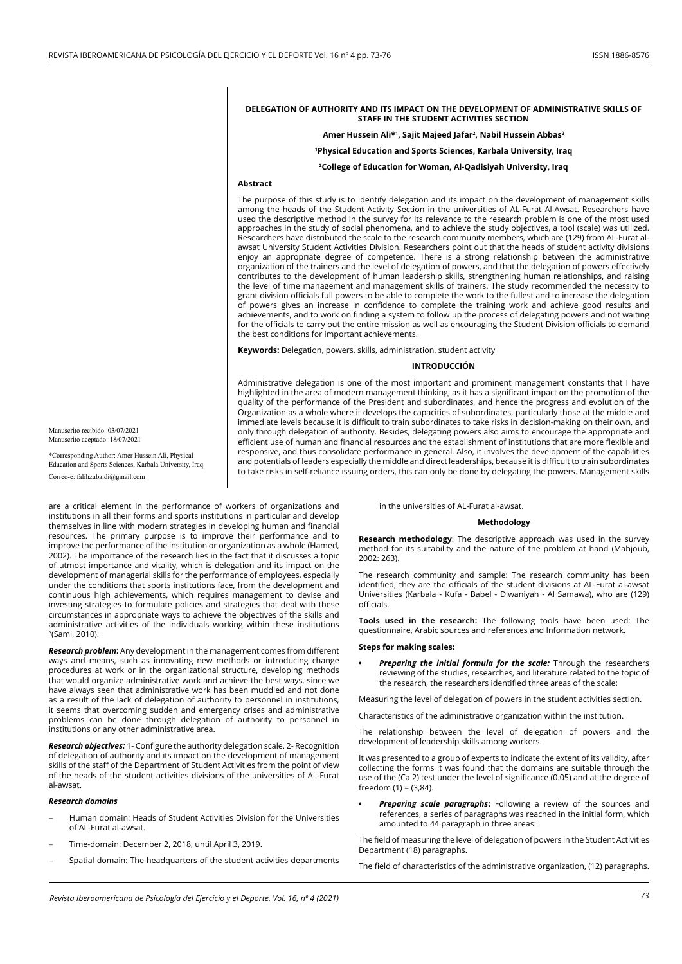### **DELEGATION OF AUTHORITY AND ITS IMPACT ON THE DEVELOPMENT OF ADMINISTRATIVE SKILLS OF STAFF IN THE STUDENT ACTIVITIES SECTION**

#### Amer Hussein Ali\*<sup>1</sup>, Sajit Majeed Jafar<sup>2</sup>, Nabil Hussein Abbas<sup>2</sup>

**1Physical Education and Sports Sciences, Karbala University, Iraq**

**2 College of Education for Woman, Al-Qadisiyah University, Iraq**

# **Abstract**

The purpose of this study is to identify delegation and its impact on the development of management skills among the heads of the Student Activity Section in the universities of AL-Furat Al-Awsat. Researchers have used the descriptive method in the survey for its relevance to the research problem is one of the most used approaches in the study of social phenomena, and to achieve the study objectives, a tool (scale) was utilized. Researchers have distributed the scale to the research community members, which are (129) from AL-Furat alawsat University Student Activities Division. Researchers point out that the heads of student activity divisions enjoy an appropriate degree of competence. There is a strong relationship between the administrative organization of the trainers and the level of delegation of powers, and that the delegation of powers effectively contributes to the development of human leadership skills, strengthening human relationships, and raising the level of time management and management skills of trainers. The study recommended the necessity to grant division officials full powers to be able to complete the work to the fullest and to increase the delegation of powers gives an increase in confidence to complete the training work and achieve good results and achievements, and to work on finding a system to follow up the process of delegating powers and not waiting for the officials to carry out the entire mission as well as encouraging the Student Division officials to demand the best conditions for important achievements.

**Keywords:** Delegation, powers, skills, administration, student activity

#### **INTRODUCCIÓN**

Administrative delegation is one of the most important and prominent management constants that I have highlighted in the area of modern management thinking, as it has a significant impact on the promotion of the quality of the performance of the President and subordinates, and hence the progress and evolution of the Organization as a whole where it develops the capacities of subordinates, particularly those at the middle and immediate levels because it is difficult to train subordinates to take risks in decision-making on their own, and only through delegation of authority. Besides, delegating powers also aims to encourage the appropriate and efficient use of human and financial resources and the establishment of institutions that are more flexible and responsive, and thus consolidate performance in general. Also, it involves the development of the capabilities and potentials of leaders especially the middle and direct leaderships, because it is difficult to train subordinates to take risks in self-reliance issuing orders, this can only be done by delegating the powers. Management skills

Manuscrito recibido: 03/07/2021 Manuscrito aceptado: 18/07/2021

\*Corresponding Author: Amer Hussein Ali, Physical Education and Sports Sciences, Karbala University, Iraq Correo-e: falihzubaidi@gmail.com

are a critical element in the performance of workers of organizations and institutions in all their forms and sports institutions in particular and develop themselves in line with modern strategies in developing human and financial resources. The primary purpose is to improve their performance and to improve the performance of the institution or organization as a whole (Hamed, 2002). The importance of the research lies in the fact that it discusses a topic of utmost importance and vitality, which is delegation and its impact on the development of managerial skills for the performance of employees, especially under the conditions that sports institutions face, from the development and continuous high achievements, which requires management to devise and investing strategies to formulate policies and strategies that deal with these circumstances in appropriate ways to achieve the objectives of the skills and administrative activities of the individuals working within these institutions "(Sami, 2010).

*Research problem***:** Any development in the management comes from different ways and means, such as innovating new methods or introducing change procedures at work or in the organizational structure, developing methods that would organize administrative work and achieve the best ways, since we have always seen that administrative work has been muddled and not done as a result of the lack of delegation of authority to personnel in institutions, it seems that overcoming sudden and emergency crises and administrative problems can be done through delegation of authority to personnel in institutions or any other administrative area.

*Research objectives:* 1- Configure the authority delegation scale. 2- Recognition of delegation of authority and its impact on the development of management skills of the staff of the Department of Student Activities from the point of view of the heads of the student activities divisions of the universities of AL-Furat al-awsat.

#### *Research domains*

- Human domain: Heads of Student Activities Division for the Universities of AL-Furat al-awsat.
- Time-domain: December 2, 2018, until April 3, 2019.
- Spatial domain: The headquarters of the student activities departments

in the universities of AL-Furat al-awsat.

## **Methodology**

**Research methodology**: The descriptive approach was used in the survey method for its suitability and the nature of the problem at hand (Mahjoub, 2002: 263).

The research community and sample: The research community has been identified, they are the officials of the student divisions at AL-Furat al-awsat Universities (Karbala - Kufa - Babel - Diwaniyah - Al Samawa), who are (129) officials.

**Tools used in the research:** The following tools have been used: The questionnaire, Arabic sources and references and Information network.

#### **Steps for making scales:**

**Preparing the initial formula for the scale:** Through the researchers reviewing of the studies, researches, and literature related to the topic of the research, the researchers identified three areas of the scale:

Measuring the level of delegation of powers in the student activities section.

Characteristics of the administrative organization within the institution.

The relationship between the level of delegation of powers and the development of leadership skills among workers.

It was presented to a group of experts to indicate the extent of its validity, after collecting the forms it was found that the domains are suitable through the use of the (Ca 2) test under the level of significance (0.05) and at the degree of freedom  $(1) = (3,84)$ .

**Preparing scale paragraphs:** Following a review of the sources and references, a series of paragraphs was reached in the initial form, which amounted to 44 paragraph in three areas:

The field of measuring the level of delegation of powers in the Student Activities Department (18) paragraphs.

The field of characteristics of the administrative organization, (12) paragraphs.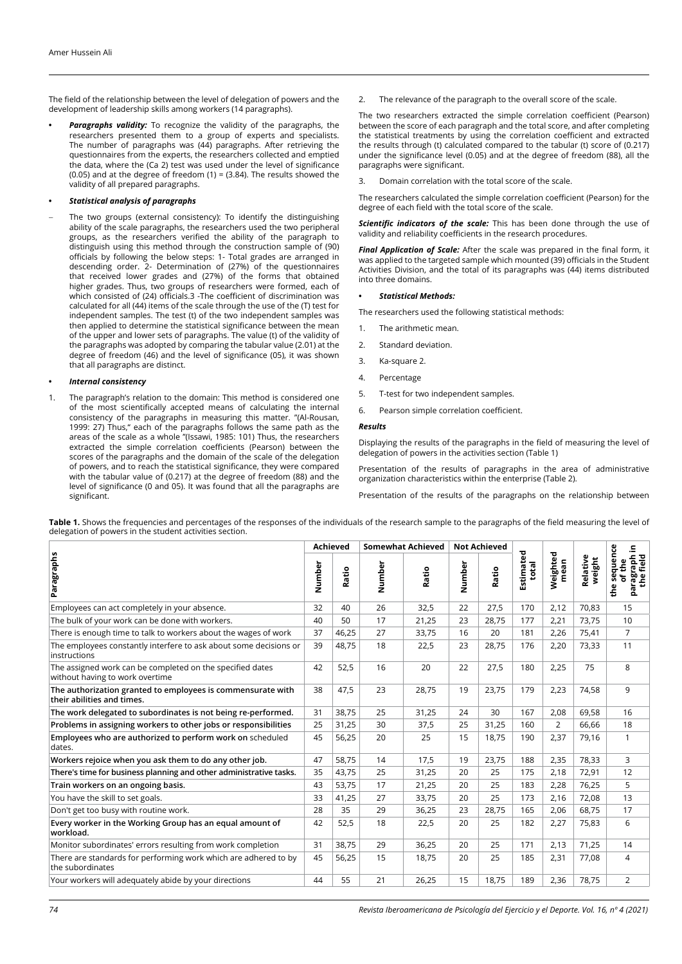The field of the relationship between the level of delegation of powers and the development of leadership skills among workers (14 paragraphs).

Paragraphs validity: To recognize the validity of the paragraphs, the researchers presented them to a group of experts and specialists. The number of paragraphs was (44) paragraphs. After retrieving the questionnaires from the experts, the researchers collected and emptied the data, where the (Ca 2) test was used under the level of significance (0.05) and at the degree of freedom (1) = (3.84). The results showed the validity of all prepared paragraphs.

## **•**  *Statistical analysis of paragraphs*

The two groups (external consistency): To identify the distinguishing ability of the scale paragraphs, the researchers used the two peripheral groups, as the researchers verified the ability of the paragraph to distinguish using this method through the construction sample of (90) officials by following the below steps: 1- Total grades are arranged in descending order. 2- Determination of (27%) of the questionnaires that received lower grades and (27%) of the forms that obtained higher grades. Thus, two groups of researchers were formed, each of which consisted of (24) officials.3 -The coefficient of discrimination was calculated for all (44) items of the scale through the use of the (T) test for independent samples. The test (t) of the two independent samples was then applied to determine the statistical significance between the mean of the upper and lower sets of paragraphs. The value (t) of the validity of the paragraphs was adopted by comparing the tabular value (2.01) at the degree of freedom (46) and the level of significance (05), it was shown that all paragraphs are distinct.

# **•**  *Internal consistency*

1. The paragraph's relation to the domain: This method is considered one of the most scientifically accepted means of calculating the internal consistency of the paragraphs in measuring this matter. "(Al-Rousan, 1999: 27) Thus," each of the paragraphs follows the same path as the areas of the scale as a whole "(Issawi, 1985: 101) Thus, the researchers extracted the simple correlation coefficients (Pearson) between the scores of the paragraphs and the domain of the scale of the delegation of powers, and to reach the statistical significance, they were compared with the tabular value of (0.217) at the degree of freedom (88) and the level of significance (0 and 05). It was found that all the paragraphs are significant.

2. The relevance of the paragraph to the overall score of the scale.

The two researchers extracted the simple correlation coefficient (Pearson) between the score of each paragraph and the total score, and after completing the statistical treatments by using the correlation coefficient and extracted the results through (t) calculated compared to the tabular (t) score of (0.217) under the significance level (0.05) and at the degree of freedom (88), all the paragraphs were significant.

3. Domain correlation with the total score of the scale.

The researchers calculated the simple correlation coefficient (Pearson) for the degree of each field with the total score of the scale.

**Scientific indicators of the scale:** This has been done through the use of validity and reliability coefficients in the research procedures.

*Final Application of Scale:* After the scale was prepared in the final form, it was applied to the targeted sample which mounted (39) officials in the Student Activities Division, and the total of its paragraphs was (44) items distributed into three domains.

## **•**  *Statistical Methods:*

The researchers used the following statistical methods:

- 1. The arithmetic mean.
- 2. Standard deviation.
- 3. Ka-square 2.
- 4. Percentage
- 5. T-test for two independent samples.
- 6. Pearson simple correlation coefficient.

#### *Results*

Displaying the results of the paragraphs in the field of measuring the level of delegation of powers in the activities section (Table 1)

Presentation of the results of paragraphs in the area of administrative organization characteristics within the enterprise (Table 2).

Presentation of the results of the paragraphs on the relationship between

**Table 1.** Shows the frequencies and percentages of the responses of the individuals of the research sample to the paragraphs of the field measuring the level of delegation of powers in the student activities section.

| Paragraphs                                                                                   | <b>Achieved</b> |       | <b>Somewhat Achieved</b> |       | <b>Not Achieved</b> |       |                    |                  |                    | .드                                                                |
|----------------------------------------------------------------------------------------------|-----------------|-------|--------------------------|-------|---------------------|-------|--------------------|------------------|--------------------|-------------------------------------------------------------------|
|                                                                                              | Number          | Ratio | Number                   | Ratio | Number              | Ratio | Estimated<br>total | Weighted<br>mean | Relative<br>weight | sequence<br>paragraph<br>the field<br>of the<br>$\mathbf{v}$<br>흡 |
| Employees can act completely in your absence.                                                | 32              | 40    | 26                       | 32,5  | 22                  | 27,5  | 170                | 2,12             | 70,83              | 15                                                                |
| The bulk of your work can be done with workers.                                              | 40              | 50    | 17                       | 21,25 | 23                  | 28,75 | 177                | 2,21             | 73,75              | 10                                                                |
| There is enough time to talk to workers about the wages of work                              | 37              | 46,25 | 27                       | 33,75 | 16                  | 20    | 181                | 2,26             | 75,41              | $\overline{7}$                                                    |
| The employees constantly interfere to ask about some decisions or<br>instructions            | 39              | 48,75 | 18                       | 22,5  | 23                  | 28,75 | 176                | 2,20             | 73,33              | 11                                                                |
| The assigned work can be completed on the specified dates<br>without having to work overtime | 42              | 52,5  | 16                       | 20    | 22                  | 27,5  | 180                | 2,25             | 75                 | 8                                                                 |
| The authorization granted to employees is commensurate with<br>their abilities and times.    | 38              | 47,5  | 23                       | 28,75 | 19                  | 23,75 | 179                | 2,23             | 74,58              | 9                                                                 |
| The work delegated to subordinates is not being re-performed.                                | 31              | 38,75 | 25                       | 31,25 | 24                  | 30    | 167                | 2,08             | 69,58              | 16                                                                |
| Problems in assigning workers to other jobs or responsibilities                              | 25              | 31,25 | 30                       | 37,5  | 25                  | 31,25 | 160                | 2                | 66,66              | 18                                                                |
| Employees who are authorized to perform work on scheduled<br>dates.                          | 45              | 56,25 | 20                       | 25    | 15                  | 18,75 | 190                | 2,37             | 79,16              | $\mathbf{1}$                                                      |
| Workers rejoice when you ask them to do any other job.                                       | 47              | 58,75 | 14                       | 17,5  | 19                  | 23,75 | 188                | 2,35             | 78,33              | 3                                                                 |
| There's time for business planning and other administrative tasks.                           | 35              | 43,75 | 25                       | 31,25 | 20                  | 25    | 175                | 2,18             | 72,91              | 12                                                                |
| Train workers on an ongoing basis.                                                           | 43              | 53,75 | 17                       | 21,25 | 20                  | 25    | 183                | 2,28             | 76,25              | 5                                                                 |
| You have the skill to set goals.                                                             | 33              | 41,25 | 27                       | 33,75 | 20                  | 25    | 173                | 2,16             | 72,08              | 13                                                                |
| Don't get too busy with routine work.                                                        | 28              | 35    | 29                       | 36,25 | 23                  | 28,75 | 165                | 2,06             | 68,75              | 17                                                                |
| Every worker in the Working Group has an equal amount of<br>workload.                        | 42              | 52,5  | 18                       | 22,5  | 20                  | 25    | 182                | 2,27             | 75,83              | 6                                                                 |
| Monitor subordinates' errors resulting from work completion                                  | 31              | 38,75 | 29                       | 36,25 | 20                  | 25    | 171                | 2,13             | 71,25              | 14                                                                |
| There are standards for performing work which are adhered to by<br>the subordinates          | 45              | 56,25 | 15                       | 18,75 | 20                  | 25    | 185                | 2,31             | 77,08              | $\overline{4}$                                                    |
| Your workers will adequately abide by your directions                                        | 44              | 55    | 21                       | 26,25 | 15                  | 18,75 | 189                | 2,36             | 78,75              | $\overline{2}$                                                    |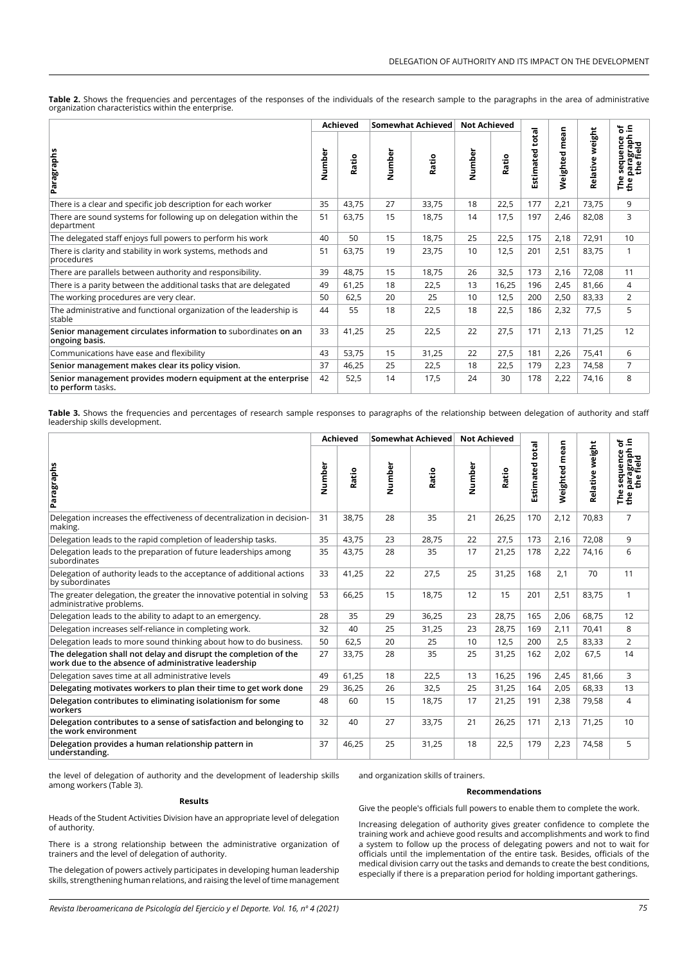|                                                                                    |        | Achieved | Somewhat Achieved |       | <b>Not Achieved</b> |       |                        |                  |                    | `ნ ა                                           |
|------------------------------------------------------------------------------------|--------|----------|-------------------|-------|---------------------|-------|------------------------|------------------|--------------------|------------------------------------------------|
| Paragraphs                                                                         | Number | Ratio    | Number            | Ratio | Number              | Ratio | <b>Estimated total</b> | mean<br>Weighted | weight<br>Relative | paragraph<br>the field<br>the field<br>Φ<br>통증 |
| There is a clear and specific job description for each worker                      | 35     | 43,75    | 27                | 33,75 | 18                  | 22,5  | 177                    | 2,21             | 73,75              | 9                                              |
| There are sound systems for following up on delegation within the<br>department    | 51     | 63,75    | 15                | 18,75 | 14                  | 17,5  | 197                    | 2,46             | 82,08              | 3                                              |
| The delegated staff enjoys full powers to perform his work                         | 40     | 50       | 15                | 18,75 | 25                  | 22,5  | 175                    | 2,18             | 72,91              | 10                                             |
| There is clarity and stability in work systems, methods and<br>procedures          | 51     | 63,75    | 19                | 23,75 | 10                  | 12,5  | 201                    | 2,51             | 83,75              | 1                                              |
| There are parallels between authority and responsibility.                          | 39     | 48,75    | 15                | 18,75 | 26                  | 32,5  | 173                    | 2,16             | 72,08              | 11                                             |
| There is a parity between the additional tasks that are delegated                  | 49     | 61,25    | 18                | 22,5  | 13                  | 16,25 | 196                    | 2,45             | 81,66              | 4                                              |
| The working procedures are very clear.                                             | 50     | 62,5     | 20                | 25    | 10                  | 12,5  | 200                    | 2,50             | 83,33              | $\overline{2}$                                 |
| The administrative and functional organization of the leadership is<br>stable      | 44     | 55       | 18                | 22,5  | 18                  | 22,5  | 186                    | 2,32             | 77,5               | 5                                              |
| Senior management circulates information to subordinates on an<br>ongoing basis.   | 33     | 41,25    | 25                | 22,5  | 22                  | 27,5  | 171                    | 2,13             | 71,25              | 12                                             |
| Communications have ease and flexibility                                           | 43     | 53,75    | 15                | 31,25 | 22                  | 27,5  | 181                    | 2,26             | 75,41              | 6                                              |
| Senior management makes clear its policy vision.                                   | 37     | 46,25    | 25                | 22,5  | 18                  | 22,5  | 179                    | 2,23             | 74,58              | 7                                              |
| Senior management provides modern equipment at the enterprise<br>to perform tasks. | 42     | 52,5     | 14                | 17,5  | 24                  | 30    | 178                    | 2,22             | 74,16              | 8                                              |

Table 2. Shows the frequencies and percentages of the responses of the individuals of the research sample to the paragraphs in the area of administrative organization characteristics within the enterprise.

**Table 3.** Shows the frequencies and percentages of research sample responses to paragraphs of the relationship between delegation of authority and staff<br>leadership skills development.

| Paragraphs                                                                                                               | Achieved |       | <b>Somewhat Achieved</b> |       | <b>Not Achieved</b> |       |                        |               |                 | ≌. ჭ                                                           |
|--------------------------------------------------------------------------------------------------------------------------|----------|-------|--------------------------|-------|---------------------|-------|------------------------|---------------|-----------------|----------------------------------------------------------------|
|                                                                                                                          | Number   | Ratio | Number                   | Ratio | Number              | Ratio | <b>Estimated total</b> | Weighted mean | Relative weight | e sequence c<br>paragraph i<br>the field<br>$\mathbf{v}$<br>통증 |
| Delegation increases the effectiveness of decentralization in decision-<br>making.                                       | 31       | 38,75 | 28                       | 35    | 21                  | 26,25 | 170                    | 2,12          | 70,83           | $\overline{7}$                                                 |
| Delegation leads to the rapid completion of leadership tasks.                                                            | 35       | 43,75 | 23                       | 28,75 | 22                  | 27,5  | 173                    | 2,16          | 72,08           | 9                                                              |
| Delegation leads to the preparation of future leaderships among<br>subordinates                                          | 35       | 43,75 | 28                       | 35    | 17                  | 21,25 | 178                    | 2,22          | 74,16           | 6                                                              |
| Delegation of authority leads to the acceptance of additional actions<br>by subordinates                                 | 33       | 41,25 | 22                       | 27,5  | 25                  | 31,25 | 168                    | 2,1           | 70              | 11                                                             |
| The greater delegation, the greater the innovative potential in solving<br>administrative problems.                      | 53       | 66,25 | 15                       | 18.75 | 12                  | 15    | 201                    | 2,51          | 83,75           | 1                                                              |
| Delegation leads to the ability to adapt to an emergency.                                                                | 28       | 35    | 29                       | 36,25 | 23                  | 28,75 | 165                    | 2,06          | 68,75           | 12                                                             |
| Delegation increases self-reliance in completing work.                                                                   | 32       | 40    | 25                       | 31,25 | 23                  | 28,75 | 169                    | 2,11          | 70,41           | 8                                                              |
| Delegation leads to more sound thinking about how to do business.                                                        | 50       | 62,5  | 20                       | 25    | 10                  | 12,5  | 200                    | 2,5           | 83,33           | $\overline{2}$                                                 |
| The delegation shall not delay and disrupt the completion of the<br>work due to the absence of administrative leadership | 27       | 33,75 | 28                       | 35    | 25                  | 31,25 | 162                    | 2,02          | 67,5            | 14                                                             |
| Delegation saves time at all administrative levels                                                                       | 49       | 61,25 | 18                       | 22,5  | 13                  | 16,25 | 196                    | 2,45          | 81,66           | 3                                                              |
| Delegating motivates workers to plan their time to get work done                                                         | 29       | 36,25 | 26                       | 32,5  | 25                  | 31,25 | 164                    | 2,05          | 68,33           | 13                                                             |
| Delegation contributes to eliminating isolationism for some<br>workers                                                   | 48       | 60    | 15                       | 18,75 | 17                  | 21,25 | 191                    | 2,38          | 79,58           | 4                                                              |
| Delegation contributes to a sense of satisfaction and belonging to<br>the work environment                               | 32       | 40    | 27                       | 33,75 | 21                  | 26,25 | 171                    | 2,13          | 71,25           | 10                                                             |
| Delegation provides a human relationship pattern in<br>understanding.                                                    | 37       | 46,25 | 25                       | 31,25 | 18                  | 22,5  | 179                    | 2,23          | 74,58           | 5                                                              |

the level of delegation of authority and the development of leadership skills among workers (Table 3).

#### **Results**

Heads of the Student Activities Division have an appropriate level of delegation of authority.

There is a strong relationship between the administrative organization of trainers and the level of delegation of authority.

The delegation of powers actively participates in developing human leadership skills, strengthening human relations, and raising the level of time management

and organization skills of trainers.

#### **Recommendations**

Give the people's officials full powers to enable them to complete the work.

Increasing delegation of authority gives greater confidence to complete the training work and achieve good results and accomplishments and work to find a system to follow up the process of delegating powers and not to wait for officials until the implementation of the entire task. Besides, officials of the medical division carry out the tasks and demands to create the best conditions, especially if there is a preparation period for holding important gatherings.